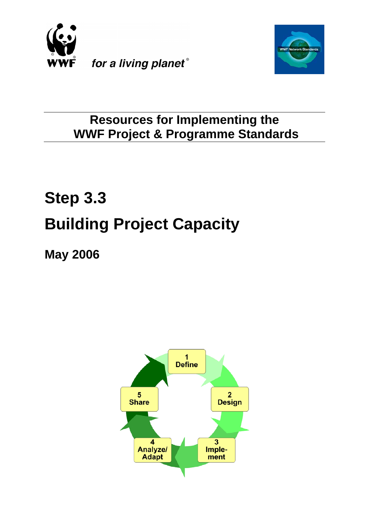



### **Resources for Implementing the WWF Project & Programme Standards**

# **Step 3.3 Building Project Capacity**

**May 2006**

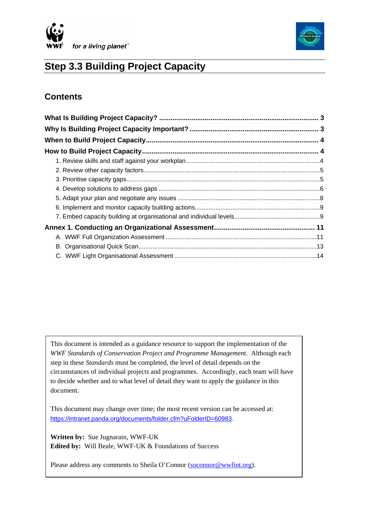



### **Step 3.3 Building Project Capacity**

### **Contents**

This document is intended as a guidance resource to support the implementation of the *WWF Standards of Conservation Project and Programme Management.* Although each step in these *Standards* must be completed, the level of detail depends on the circumstances of individual projects and programmes. Accordingly, each team will have to decide whether and to what level of detail they want to apply the guidance in this document.

This document may change over time; the most recent version can be accessed at: <https://intranet.panda.org/documents/folder.cfm?uFolderID=60983>.

**Written by:** Sue Jugnarain, WWF-UK **Edited by:** Will Beale, WWF-UK & Foundations of Success

Please address any comments to Sheila O'Connor [\(soconnor@wwfint.org](mailto:soconnor@wwfint.org)).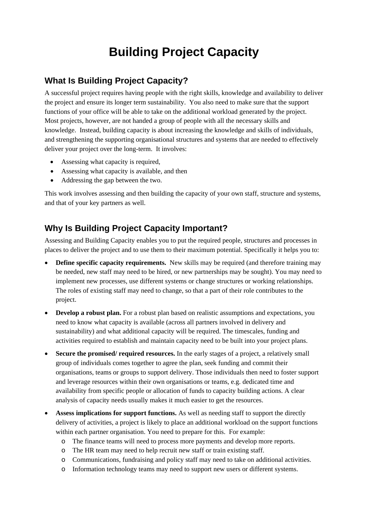## **Building Project Capacity**

### <span id="page-2-0"></span>**What Is Building Project Capacity?**

A successful project requires having people with the right skills, knowledge and availability to deliver the project and ensure its longer term sustainability. You also need to make sure that the support functions of your office will be able to take on the additional workload generated by the project. Most projects, however, are not handed a group of people with all the necessary skills and knowledge. Instead, building capacity is about increasing the knowledge and skills of individuals, and strengthening the supporting organisational structures and systems that are needed to effectively deliver your project over the long-term. It involves:

- Assessing what capacity is required,
- Assessing what capacity is available, and then
- Addressing the gap between the two.

This work involves assessing and then building the capacity of your own staff, structure and systems, and that of your key partners as well.

### **Why Is Building Project Capacity Important?**

Assessing and Building Capacity enables you to put the required people, structures and processes in places to deliver the project and to use them to their maximum potential. Specifically it helps you to:

- **Define specific capacity requirements.** New skills may be required (and therefore training may be needed, new staff may need to be hired, or new partnerships may be sought). You may need to implement new processes, use different systems or change structures or working relationships. The roles of existing staff may need to change, so that a part of their role contributes to the project.
- **Develop a robust plan.** For a robust plan based on realistic assumptions and expectations, you need to know what capacity is available (across all partners involved in delivery and sustainability) and what additional capacity will be required. The timescales, funding and activities required to establish and maintain capacity need to be built into your project plans.
- **Secure the promised/ required resources.** In the early stages of a project, a relatively small group of individuals comes together to agree the plan, seek funding and commit their organisations, teams or groups to support delivery. Those individuals then need to foster support and leverage resources within their own organisations or teams, e.g. dedicated time and availability from specific people or allocation of funds to capacity building actions. A clear analysis of capacity needs usually makes it much easier to get the resources.
- **Assess implications for support functions.** As well as needing staff to support the directly delivery of activities, a project is likely to place an additional workload on the support functions within each partner organisation. You need to prepare for this. For example:
	- o The finance teams will need to process more payments and develop more reports.
	- o The HR team may need to help recruit new staff or train existing staff.
	- o Communications, fundraising and policy staff may need to take on additional activities.
	- o Information technology teams may need to support new users or different systems.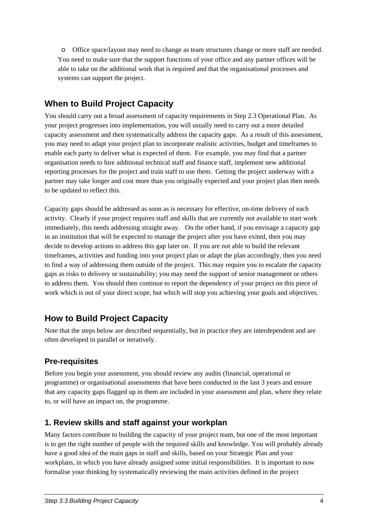<span id="page-3-0"></span>o Office space/layout may need to change as team structures change or more staff are needed. You need to make sure that the support functions of your office and any partner offices will be able to take on the additional work that is required and that the organisational processes and systems can support the project.

### **When to Build Project Capacity**

You should carry out a broad assessment of capacity requirements in Step 2.3 Operational Plan. As your project progresses into implementation, you will usually need to carry out a more detailed capacity assessment and then systematically address the capacity gaps. As a result of this assessment, you may need to adapt your project plan to incorporate realistic activities, budget and timeframes to enable each party to deliver what is expected of them. For example, you may find that a partner organisation needs to hire additional technical staff and finance staff, implement new additional reporting processes for the project and train staff to use them. Getting the project underway with a partner may take longer and cost more than you originally expected and your project plan then needs to be updated to reflect this.

Capacity gaps should be addressed as soon as is necessary for effective, on-time delivery of each activity. Clearly if your project requires staff and skills that are currently not available to start work immediately, this needs addressing straight away. On the other hand, if you envisage a capacity gap in an institution that will be expected to manage the project after you have exited, then you may decide to develop actions to address this gap later on. If you are not able to build the relevant timeframes, activities and funding into your project plan or adapt the plan accordingly, then you need to find a way of addressing them outside of the project. This may require you to escalate the capacity gaps as risks to delivery or sustainability; you may need the support of senior management or others to address them. You should then continue to report the dependency of your project on this piece of work which is out of your direct scope, but which will stop you achieving your goals and objectives.

### **How to Build Project Capacity**

Note that the steps below are described sequentially, but in practice they are interdependent and are often developed in parallel or iteratively.

### **Pre-requisites**

Before you begin your assessment, you should review any audits (financial, operational or programme) or organisational assessments that have been conducted in the last 3 years and ensure that any capacity gaps flagged up in them are included in your assessment and plan, where they relate to, or will have an impact on, the programme.

### **1. Review skills and staff against your workplan**

Many factors contribute to building the capacity of your project team, but one of the most important is to get the right number of people with the required skills and knowledge. You will probably already have a good idea of the main gaps in staff and skills, based on your Strategic Plan and your workplans, in which you have already assigned some initial responsibilities. It is important to now formalise your thinking by systematically reviewing the main activities defined in the project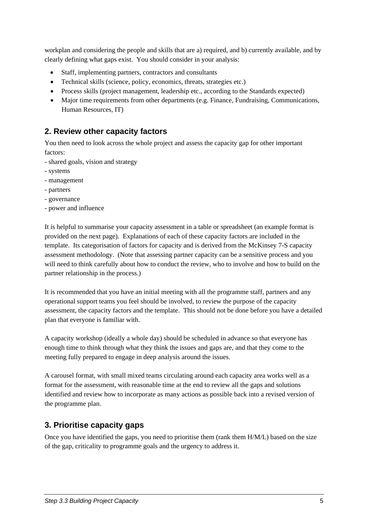<span id="page-4-0"></span>workplan and considering the people and skills that are a) required, and b) currently available, and by clearly defining what gaps exist. You should consider in your analysis:

- Staff, implementing partners, contractors and consultants
- Technical skills (science, policy, economics, threats, strategies etc.)
- Process skills (project management, leadership etc., according to the Standards expected)
- Major time requirements from other departments (e.g. Finance, Fundraising, Communications, Human Resources, IT)

### **2. Review other capacity factors**

You then need to look across the whole project and assess the capacity gap for other important factors:

- shared goals, vision and strategy
- systems
- management
- partners
- governance
- power and influence

It is helpful to summarise your capacity assessment in a table or spreadsheet (an example format is provided on the next page). Explanations of each of these capacity factors are included in the template. Its categorisation of factors for capacity and is derived from the McKinsey 7-S capacity assessment methodology. (Note that assessing partner capacity can be a sensitive process and you will need to think carefully about how to conduct the review, who to involve and how to build on the partner relationship in the process.)

It is recommended that you have an initial meeting with all the programme staff, partners and any operational support teams you feel should be involved, to review the purpose of the capacity assessment, the capacity factors and the template. This should not be done before you have a detailed plan that everyone is familiar with.

A capacity workshop (ideally a whole day) should be scheduled in advance so that everyone has enough time to think through what they think the issues and gaps are, and that they come to the meeting fully prepared to engage in deep analysis around the issues.

A carousel format, with small mixed teams circulating around each capacity area works well as a format for the assessment, with reasonable time at the end to review all the gaps and solutions identified and review how to incorporate as many actions as possible back into a revised version of the programme plan.

### **3. Prioritise capacity gaps**

Once you have identified the gaps, you need to prioritise them (rank them H/M/L) based on the size of the gap, criticality to programme goals and the urgency to address it.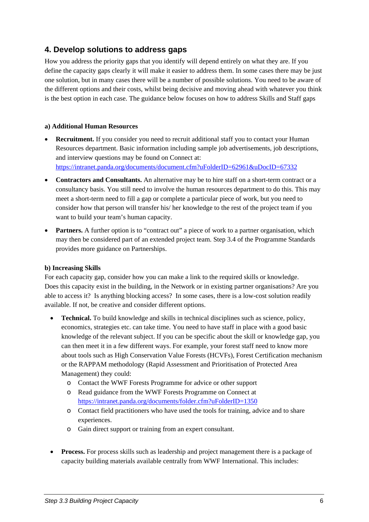### <span id="page-5-0"></span>**4. Develop solutions to address gaps**

How you address the priority gaps that you identify will depend entirely on what they are. If you define the capacity gaps clearly it will make it easier to address them. In some cases there may be just one solution, but in many cases there will be a number of possible solutions. You need to be aware of the different options and their costs, whilst being decisive and moving ahead with whatever you think is the best option in each case. The guidance below focuses on how to address Skills and Staff gaps

#### **a) Additional Human Resources**

- **Recruitment.** If you consider you need to recruit additional staff you to contact your Human Resources department. Basic information including sample job advertisements, job descriptions, and interview questions may be found on Connect at: <https://intranet.panda.org/documents/document.cfm?uFolderID=62961&uDocID=67332>
- **Contractors and Consultants.** An alternative may be to hire staff on a short-term contract or a consultancy basis. You still need to involve the human resources department to do this. This may meet a short-term need to fill a gap or complete a particular piece of work, but you need to consider how that person will transfer his/ her knowledge to the rest of the project team if you want to build your team's human capacity.
- **Partners.** A further option is to "contract out" a piece of work to a partner organisation, which may then be considered part of an extended project team. Step 3.4 of the Programme Standards provides more guidance on Partnerships.

#### **b) Increasing Skills**

For each capacity gap, consider how you can make a link to the required skills or knowledge. Does this capacity exist in the building, in the Network or in existing partner organisations? Are you able to access it? Is anything blocking access? In some cases, there is a low-cost solution readily available. If not, be creative and consider different options.

- **Technical.** To build knowledge and skills in technical disciplines such as science, policy, economics, strategies etc. can take time. You need to have staff in place with a good basic knowledge of the relevant subject. If you can be specific about the skill or knowledge gap, you can then meet it in a few different ways. For example, your forest staff need to know more about tools such as High Conservation Value Forests (HCVFs), Forest Certification mechanism or the RAPPAM methodology (Rapid Assessment and Prioritisation of Protected Area Management) they could:
	- o Contact the WWF Forests Programme for advice or other support
	- o Read guidance from the WWF Forests Programme on Connect at <https://intranet.panda.org/documents/folder.cfm?uFolderID=1350>
	- o Contact field practitioners who have used the tools for training, advice and to share experiences.
	- o Gain direct support or training from an expert consultant.
- **Process.** For process skills such as leadership and project management there is a package of capacity building materials available centrally from WWF International. This includes: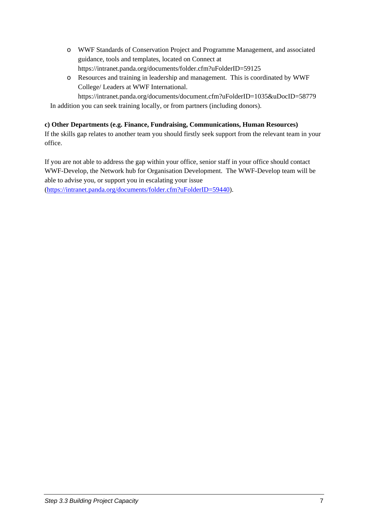- o WWF Standards of Conservation Project and Programme Management, and associated guidance, tools and templates, located on Connect at <https://intranet.panda.org/documents/folder.cfm?uFolderID=59125>
- o Resources and training in leadership and management. This is coordinated by WWF College/ Leaders at WWF International.

<https://intranet.panda.org/documents/document.cfm?uFolderID=1035&uDocID=58779> In addition you can seek training locally, or from partners (including donors).

#### **c) Other Departments (e.g. Finance, Fundraising, Communications, Human Resources)**

If the skills gap relates to another team you should firstly seek support from the relevant team in your office.

If you are not able to address the gap within your office, senior staff in your office should contact WWF-Develop, the Network hub for Organisation Development. The WWF-Develop team will be able to advise you, or support you in escalating your issue

([https://intranet.panda.org/documents/folder.cfm?uFolderID=59440\)](https://intranet.panda.org/documents/folder.cfm?uFolderID=59440).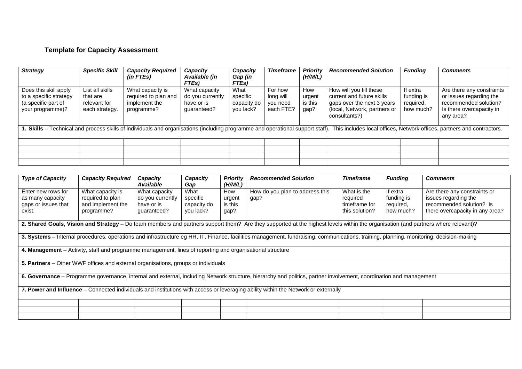### **Template for Capacity Assessment**

| <b>Strategy</b>                                                                                                                                                                                        | <b>Specific Skill</b>                                         | <b>Capacity Required</b><br>$(in$ FTEs $)$                              | <b>Capacity</b><br>Available (in<br>FTEs)                      | Capacity<br>Gap (in<br>FTEs)                 | <b>Timeframe</b>                              | Priority<br>(H/M/L)              | <b>Recommended Solution</b>                                                                                                         | <b>Funding</b>                                   | <b>Comments</b>                                                                                                        |
|--------------------------------------------------------------------------------------------------------------------------------------------------------------------------------------------------------|---------------------------------------------------------------|-------------------------------------------------------------------------|----------------------------------------------------------------|----------------------------------------------|-----------------------------------------------|----------------------------------|-------------------------------------------------------------------------------------------------------------------------------------|--------------------------------------------------|------------------------------------------------------------------------------------------------------------------------|
| Does this skill apply<br>to a specific strategy<br>(a specific part of<br>your programme)?                                                                                                             | List all skills<br>that are<br>relevant for<br>each strategy. | What capacity is<br>required to plan and<br>implement the<br>programme? | What capacity<br>do you currently<br>have or is<br>quaranteed? | What<br>specific<br>capacity do<br>you lack? | For how<br>long will<br>you need<br>each FTE? | How<br>urgent<br>is this<br>gap? | How will you fill these<br>current and future skills<br>gaps over the next 3 years<br>(local, Network, partners or<br>consultants?) | If extra<br>funding is<br>required,<br>how much? | Are there any constraints<br>or issues regarding the<br>recommended solution?<br>Is there overcapacity in<br>any area? |
| 1. Skills - Technical and process skills of individuals and organisations (including programme and operational support staff). This includes local offices, Network offices, partners and contractors. |                                                               |                                                                         |                                                                |                                              |                                               |                                  |                                                                                                                                     |                                                  |                                                                                                                        |
|                                                                                                                                                                                                        |                                                               |                                                                         |                                                                |                                              |                                               |                                  |                                                                                                                                     |                                                  |                                                                                                                        |
|                                                                                                                                                                                                        |                                                               |                                                                         |                                                                |                                              |                                               |                                  |                                                                                                                                     |                                                  |                                                                                                                        |
|                                                                                                                                                                                                        |                                                               |                                                                         |                                                                |                                              |                                               |                                  |                                                                                                                                     |                                                  |                                                                                                                        |
|                                                                                                                                                                                                        |                                                               |                                                                         |                                                                |                                              |                                               |                                  |                                                                                                                                     |                                                  |                                                                                                                        |

| <b>Type of Capacity</b>                                                                                                                                                                 | <b>Capacity Required</b>                                                                                                                                                          | Capacity<br><b>Available</b>                                   | Capacity<br>Gap                              | <b>Priority</b><br>(H/M/L)       | <b>Recommended Solution</b>             | <b>Timeframe</b>                                           | <b>Funding</b>                                   | <b>Comments</b>                                                                                                     |  |
|-----------------------------------------------------------------------------------------------------------------------------------------------------------------------------------------|-----------------------------------------------------------------------------------------------------------------------------------------------------------------------------------|----------------------------------------------------------------|----------------------------------------------|----------------------------------|-----------------------------------------|------------------------------------------------------------|--------------------------------------------------|---------------------------------------------------------------------------------------------------------------------|--|
| Enter new rows for<br>as many capacity<br>gaps or issues that<br>exist.                                                                                                                 | What capacity is<br>required to plan<br>and implement the<br>programme?                                                                                                           | What capacity<br>do you currently<br>have or is<br>quaranteed? | What<br>specific<br>capacity do<br>you lack? | How<br>urgent<br>is this<br>gap? | How do you plan to address this<br>gap? | What is the<br>required<br>timeframe for<br>this solution? | If extra<br>funding is<br>required,<br>how much? | Are there any constraints or<br>issues regarding the<br>recommended solution? Is<br>there overcapacity in any area? |  |
|                                                                                                                                                                                         | 2. Shared Goals, Vision and Strategy - Do team members and partners support them? Are they supported at the highest levels within the organisation (and partners where relevant)? |                                                                |                                              |                                  |                                         |                                                            |                                                  |                                                                                                                     |  |
| 3. Systems - Internal procedures, operations and infrastructure eg HR, IT, Finance, facilities management, fundraising, communications, training, planning, monitoring, decision-making |                                                                                                                                                                                   |                                                                |                                              |                                  |                                         |                                                            |                                                  |                                                                                                                     |  |
| 4. Management – Activity, staff and programme management, lines of reporting and organisational structure                                                                               |                                                                                                                                                                                   |                                                                |                                              |                                  |                                         |                                                            |                                                  |                                                                                                                     |  |
| 5. Partners - Other WWF offices and external organisations, groups or individuals                                                                                                       |                                                                                                                                                                                   |                                                                |                                              |                                  |                                         |                                                            |                                                  |                                                                                                                     |  |
| 6. Governance – Programme governance, internal and external, including Network structure, hierarchy and politics, partner involvement, coordination and management                      |                                                                                                                                                                                   |                                                                |                                              |                                  |                                         |                                                            |                                                  |                                                                                                                     |  |
| 7. Power and Influence – Connected individuals and institutions with access or leveraging ability within the Network or externally                                                      |                                                                                                                                                                                   |                                                                |                                              |                                  |                                         |                                                            |                                                  |                                                                                                                     |  |
|                                                                                                                                                                                         |                                                                                                                                                                                   |                                                                |                                              |                                  |                                         |                                                            |                                                  |                                                                                                                     |  |
|                                                                                                                                                                                         |                                                                                                                                                                                   |                                                                |                                              |                                  |                                         |                                                            |                                                  |                                                                                                                     |  |
|                                                                                                                                                                                         |                                                                                                                                                                                   |                                                                |                                              |                                  |                                         |                                                            |                                                  |                                                                                                                     |  |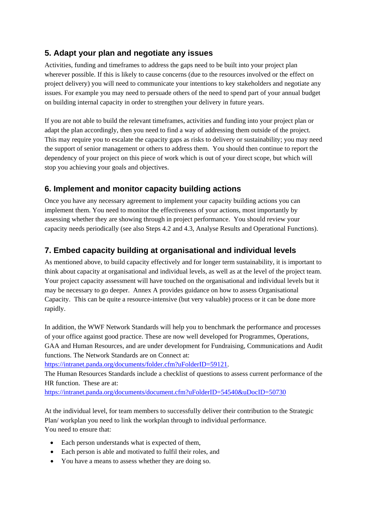### <span id="page-8-0"></span>**5. Adapt your plan and negotiate any issues**

Activities, funding and timeframes to address the gaps need to be built into your project plan wherever possible. If this is likely to cause concerns (due to the resources involved or the effect on project delivery) you will need to communicate your intentions to key stakeholders and negotiate any issues. For example you may need to persuade others of the need to spend part of your annual budget on building internal capacity in order to strengthen your delivery in future years.

If you are not able to build the relevant timeframes, activities and funding into your project plan or adapt the plan accordingly, then you need to find a way of addressing them outside of the project. This may require you to escalate the capacity gaps as risks to delivery or sustainability; you may need the support of senior management or others to address them. You should then continue to report the dependency of your project on this piece of work which is out of your direct scope, but which will stop you achieving your goals and objectives.

### **6. Implement and monitor capacity building actions**

Once you have any necessary agreement to implement your capacity building actions you can implement them. You need to monitor the effectiveness of your actions, most importantly by assessing whether they are showing through in project performance. You should review your capacity needs periodically (see also Steps 4.2 and 4.3, Analyse Results and Operational Functions).

### **7. Embed capacity building at organisational and individual levels**

As mentioned above, to build capacity effectively and for longer term sustainability, it is important to think about capacity at organisational and individual levels, as well as at the level of the project team. Your project capacity assessment will have touched on the organisational and individual levels but it may be necessary to go deeper. Annex A provides guidance on how to assess Organisational Capacity. This can be quite a resource-intensive (but very valuable) process or it can be done more rapidly.

In addition, the WWF Network Standards will help you to benchmark the performance and processes of your office against good practice. These are now well developed for Programmes, Operations, GAA and Human Resources, and are under development for Fundraising, Communications and Audit functions. The Network Standards are on Connect at:

[https://intranet.panda.org/documents/folder.cfm?uFolderID=59121.](https://intranet.panda.org/documents/folder.cfm?uFolderID=59121)

The Human Resources Standards include a checklist of questions to assess current performance of the HR function. These are at:

<https://intranet.panda.org/documents/document.cfm?uFolderID=54540&uDocID=50730>

At the individual level, for team members to successfully deliver their contribution to the Strategic Plan/ workplan you need to link the workplan through to individual performance. You need to ensure that:

- Each person understands what is expected of them,
- Each person is able and motivated to fulfil their roles, and
- You have a means to assess whether they are doing so.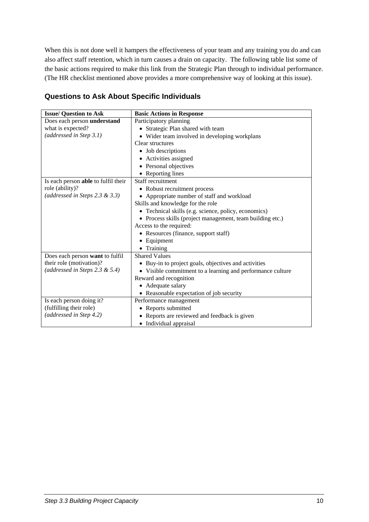When this is not done well it hampers the effectiveness of your team and any training you do and can also affect staff retention, which in turn causes a drain on capacity. The following table list some of the basic actions required to make this link from the Strategic Plan through to individual performance. (The HR checklist mentioned above provides a more comprehensive way of looking at this issue).

| <b>Issue/ Question to Ask</b>       | <b>Basic Actions in Response</b>                           |  |  |  |  |  |
|-------------------------------------|------------------------------------------------------------|--|--|--|--|--|
| Does each person understand         | Participatory planning                                     |  |  |  |  |  |
| what is expected?                   | • Strategic Plan shared with team                          |  |  |  |  |  |
| (addressed in Step 3.1)             | • Wider team involved in developing workplans              |  |  |  |  |  |
|                                     | Clear structures                                           |  |  |  |  |  |
|                                     | • Job descriptions                                         |  |  |  |  |  |
|                                     | • Activities assigned                                      |  |  |  |  |  |
|                                     | • Personal objectives                                      |  |  |  |  |  |
|                                     | • Reporting lines                                          |  |  |  |  |  |
| Is each person able to fulfil their | Staff recruitment                                          |  |  |  |  |  |
| role (ability)?                     | • Robust recruitment process                               |  |  |  |  |  |
| (addressed in Steps 2.3 & 3.3)      | • Appropriate number of staff and workload                 |  |  |  |  |  |
|                                     | Skills and knowledge for the role                          |  |  |  |  |  |
|                                     | • Technical skills (e.g. science, policy, economics)       |  |  |  |  |  |
|                                     | • Process skills (project management, team building etc.)  |  |  |  |  |  |
|                                     | Access to the required:                                    |  |  |  |  |  |
|                                     | • Resources (finance, support staff)                       |  |  |  |  |  |
|                                     | Equipment                                                  |  |  |  |  |  |
|                                     | Training                                                   |  |  |  |  |  |
| Does each person want to fulfil     | <b>Shared Values</b>                                       |  |  |  |  |  |
| their role (motivation)?            | • Buy-in to project goals, objectives and activities       |  |  |  |  |  |
| (addressed in Steps 2.3 & 5.4)      | • Visible commitment to a learning and performance culture |  |  |  |  |  |
|                                     | Reward and recognition                                     |  |  |  |  |  |
|                                     | • Adequate salary                                          |  |  |  |  |  |
|                                     | • Reasonable expectation of job security                   |  |  |  |  |  |
| Is each person doing it?            | Performance management                                     |  |  |  |  |  |
| (fulfilling their role)             | • Reports submitted                                        |  |  |  |  |  |
| (addressed in Step 4.2)             | Reports are reviewed and feedback is given                 |  |  |  |  |  |
|                                     | • Individual appraisal                                     |  |  |  |  |  |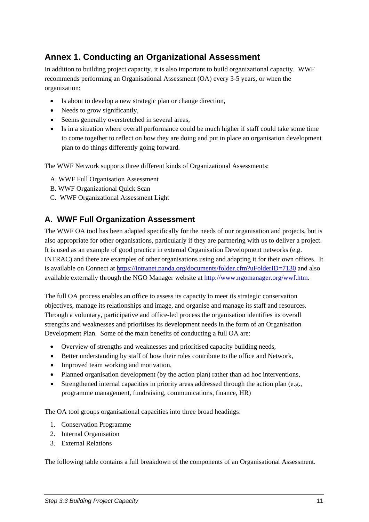### <span id="page-10-0"></span>**Annex 1. Conducting an Organizational Assessment**

In addition to building project capacity, it is also important to build organizational capacity. WWF recommends performing an Organisational Assessment (OA) every 3-5 years, or when the organization:

- Is about to develop a new strategic plan or change direction,
- Needs to grow significantly,
- Seems generally overstretched in several areas,
- Is in a situation where overall performance could be much higher if staff could take some time to come together to reflect on how they are doing and put in place an organisation development plan to do things differently going forward.

The WWF Network supports three different kinds of Organizational Assessments:

- A. WWF Full Organisation Assessment
- B. WWF Organizational Quick Scan
- C. WWF Organizational Assessment Light

### **A. WWF Full Organization Assessment**

The WWF OA tool has been adapted specifically for the needs of our organisation and projects, but is also appropriate for other organisations, particularly if they are partnering with us to deliver a project. It is used as an example of good practice in external Organisation Development networks (e.g. INTRAC) and there are examples of other organisations using and adapting it for their own offices. It is available on Connect at<https://intranet.panda.org/documents/folder.cfm?uFolderID=7130>and also available externally through the NGO Manager website at [http://www.ngomanager.org/wwf.htm.](http://www.ngomanager.org/wwf.htm)

The full OA process enables an office to assess its capacity to meet its strategic conservation objectives, manage its relationships and image, and organise and manage its staff and resources. Through a voluntary, participative and office-led process the organisation identifies its overall strengths and weaknesses and prioritises its development needs in the form of an Organisation Development Plan. Some of the main benefits of conducting a full OA are:

- Overview of strengths and weaknesses and prioritised capacity building needs,
- Better understanding by staff of how their roles contribute to the office and Network,
- Improved team working and motivation.
- Planned organisation development (by the action plan) rather than ad hoc interventions,
- Strengthened internal capacities in priority areas addressed through the action plan (e.g., programme management, fundraising, communications, finance, HR)

The OA tool groups organisational capacities into three broad headings:

- 1. Conservation Programme
- 2. Internal Organisation
- 3. External Relations

The following table contains a full breakdown of the components of an Organisational Assessment.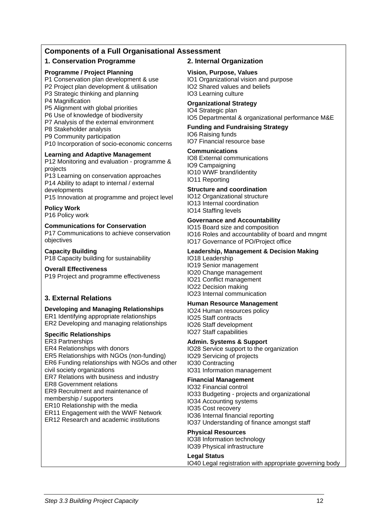#### **Components of a Full Organisational Assessment**

#### **1. Conservation Programme 2. Internal Organization**

#### **Programme / Project Planning**

- P1 Conservation plan development & use
- P2 Project plan development & utilisation

P3 Strategic thinking and planning

- P4 Magnification
- P5 Alignment with global priorities

P6 Use of knowledge of biodiversity

- P7 Analysis of the external environment
- P8 Stakeholder analysis
- P9 Community participation
- P10 Incorporation of socio-economic concerns

#### **Learning and Adaptive Management**

P12 Monitoring and evaluation - programme & projects

P13 Learning on conservation approaches P14 Ability to adapt to internal / external developments

P15 Innovation at programme and project level

#### **Policy Work**

P16 Policy work

#### **Communications for Conservation**

P17 Communications to achieve conservation objectives

#### **Capacity Building**

P18 Capacity building for sustainability

#### **Overall Effectiveness**

P19 Project and programme effectiveness

#### **3. External Relations**

#### **Developing and Managing Relationships**

ER1 Identifying appropriate relationships ER2 Developing and managing relationships

#### **Specific Relationships**

ER3 Partnerships

ER4 Relationships with donors

ER5 Relationships with NGOs (non-funding)

ER6 Funding relationships with NGOs and other civil society organizations

ER7 Relations with business and industry

ER8 Government relations

ER9 Recruitment and maintenance of

membership / supporters

ER10 Relationship with the media

ER11 Engagement with the WWF Network

ER12 Research and academic institutions

#### **Vision, Purpose, Values**

IO1 Organizational vision and purpose IO2 Shared values and beliefs IO3 Learning culture

#### **Organizational Strategy**

IO4 Strategic plan IO5 Departmental & organizational performance M&E

#### **Funding and Fundraising Strategy**

IO6 Raising funds IO7 Financial resource base

#### **Communications**

IO8 External communications IO9 Campaigning IO10 WWF brand/identity IO11 Reporting

#### **Structure and coordination**

IO12 Organizational structure IO13 Internal coordination IO14 Staffing levels

#### **Governance and Accountability**

IO15 Board size and composition IO16 Roles and accountability of board and mngmt IO17 Governance of PO/Project office

#### **Leadership, Management & Decision Making**

IO18 Leadership IO19 Senior management IO20 Change management IO21 Conflict management IO22 Decision making IO23 Internal communication

#### **Human Resource Management**

IO24 Human resources policy IO25 Staff contracts IO26 Staff development IO27 Staff capabilities

#### **Admin. Systems & Support**

IO28 Service support to the organization IO29 Servicing of projects IO30 Contracting IO31 Information management

#### **Financial Management**

IO32 Financial control IO33 Budgeting - projects and organizational IO34 Accounting systems IO35 Cost recovery IO36 Internal financial reporting IO37 Understanding of finance amongst staff

#### **Physical Resources**

IO38 Information technology IO39 Physical infrastructure

#### **Legal Status**

IO40 Legal registration with appropriate governing body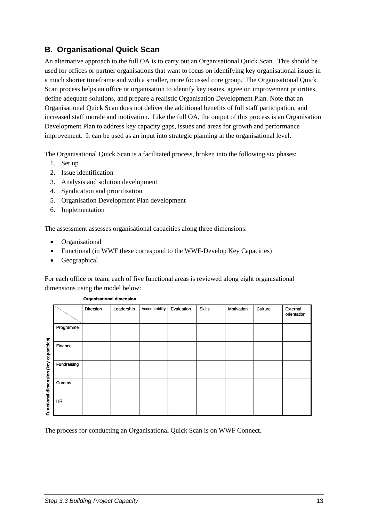### <span id="page-12-0"></span>**B. Organisational Quick Scan**

An alternative approach to the full OA is to carry out an Organisational Quick Scan. This should be used for offices or partner organisations that want to focus on identifying key organisational issues in a much shorter timeframe and with a smaller, more focussed core group. The Organisational Quick Scan process helps an office or organisation to identify key issues, agree on improvement priorities, define adequate solutions, and prepare a realistic Organisation Development Plan. Note that an Organisational Quick Scan does not deliver the additional benefits of full staff participation, and increased staff morale and motivation. Like the full OA, the output of this process is an Organisation Development Plan to address key capacity gaps, issues and areas for growth and performance improvement. It can be used as an input into strategic planning at the organisational level.

The Organisational Quick Scan is a facilitated process, broken into the following six phases:

- 1. Set up
- 2. Issue identification
- 3. Analysis and solution development
- 4. Syndication and prioritisation
- 5. Organisation Development Plan development
- 6. Implementation

The assessment assesses organisational capacities along three dimensions:

- Organisational
- Functional (in WWF these correspond to the WWF-Develop Key Capacities)
- Geographical

For each office or team, each of five functional areas is reviewed along eight organisational dimensions using the model below:

|                                       |             | Direction | Leadership | Accountability | Evaluation | <b>Skills</b> | Motivation | Culture | External<br>orientation |
|---------------------------------------|-------------|-----------|------------|----------------|------------|---------------|------------|---------|-------------------------|
|                                       | Programme   |           |            |                |            |               |            |         |                         |
|                                       | Finance     |           |            |                |            |               |            |         |                         |
| Functional dimension (key capacities) | Fundraising |           |            |                |            |               |            |         |                         |
|                                       | Comms       |           |            |                |            |               |            |         |                         |
|                                       | <b>HR</b>   |           |            |                |            |               |            |         |                         |

#### **Organisational dimension**

The process for conducting an Organisational Quick Scan is on WWF Connect.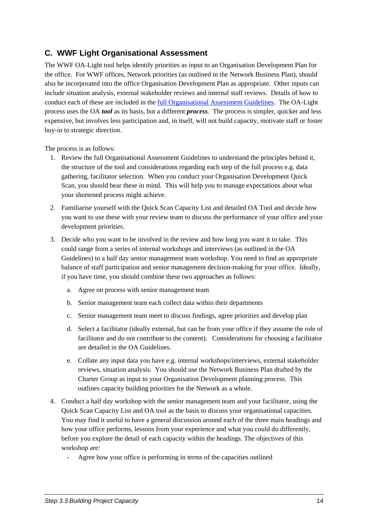### <span id="page-13-0"></span>**C. WWF Light Organisational Assessment**

The WWF OA-Light tool helps identify priorities as input to an Organisation Development Plan for the office. For WWF offices, Network priorities (as outlined in the Network Business Plan), should also be incorporated into the office Organisation Development Plan as appropriate. Other inputs can include situation analysis, external stakeholder reviews and internal staff reviews. Details of how to conduct each of these are included in the [full Organisational Assessment Guidelines.](https://intranet.panda.org/documents/folder.cfm?uFolderID=7130) The OA-Light process uses the OA *tool* as its basis, but a different *process*. The process is simpler, quicker and less expensive, but involves less participation and, in itself, will not build capacity, motivate staff or foster buy-in to strategic direction.

The process is as follows:

- 1. Review the full Organisational Assessment Guidelines to understand the principles behind it, the structure of the tool and considerations regarding each step of the full process e.g. data gathering, facilitator selection. When you conduct your Organisation Development Quick Scan, you should bear these in mind. This will help you to manage expectations about what your shortened process might achieve.
- 2. Familiarise yourself with the Quick Scan Capacity List and detailed OA Tool and decide how you want to use these with your review team to discuss the performance of your office and your development priorities.
- 3. Decide who you want to be involved in the review and how long you want it to take. This could range from a series of internal workshops and interviews (as outlined in the OA Guidelines) to a half day senior management team workshop. You need to find an appropriate balance of staff participation and senior management decision-making for your office. Ideally, if you have time, you should combine these two approaches as follows:
	- a. Agree on process with senior management team
	- b. Senior management team each collect data within their departments
	- c. Senior management team meet to discuss findings, agree priorities and develop plan
	- d. Select a facilitator (ideally external, but can be from your office if they assume the role of facilitator and do not contribute to the content). Considerations for choosing a facilitator are detailed in the OA Guidelines.
	- e. Collate any input data you have e.g. internal workshops/interviews, external stakeholder reviews, situation analysis. You should use the Network Business Plan drafted by the Charter Group as input to your Organisation Development planning process. This outlines capacity building priorities for the Network as a whole.
- 4. Conduct a half day workshop with the senior management team and your facilitator, using the Quick Scan Capacity List and OA tool as the basis to discuss your organisational capacities. You may find it useful to have a general discussion around each of the three main headings and how your office performs, lessons from your experience and what you could do differently, before you explore the detail of each capacity within the headings. The objectives of this workshop are:
	- Agree how your office is performing in terms of the capacities outlined